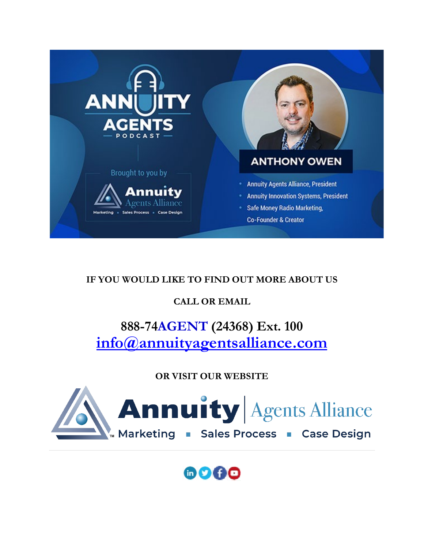

#### **IF YOU WOULD LIKE TO FIND OUT MORE ABOUT US**

#### **CALL OR EMAIL**

### **888-74AGENT (24368) Ext. 100 [info@annuityagentsalliance.com](mailto:info@annuityagentsalliance.com)**

#### **OR VISIT OUR WEBSITE**



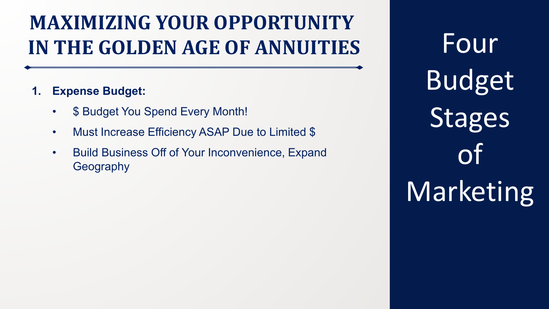### **1. Expense Budget:**

- \$ Budget You Spend Every Month!
- Must Increase Efficiency ASAP Due to Limited \$
- Build Business Off of Your Inconvenience, Expand Geography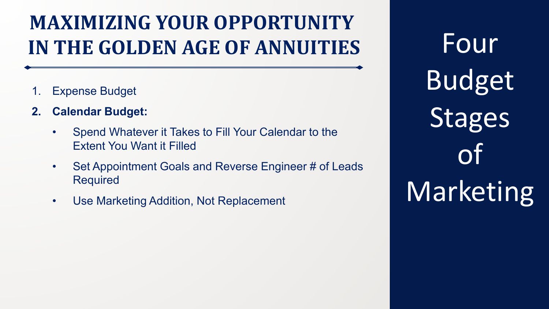- 1. Expense Budget
- **2. Calendar Budget:**
	- Spend Whatever it Takes to Fill Your Calendar to the Extent You Want it Filled
	- Set Appointment Goals and Reverse Engineer # of Leads Required
	- Use Marketing Addition, Not Replacement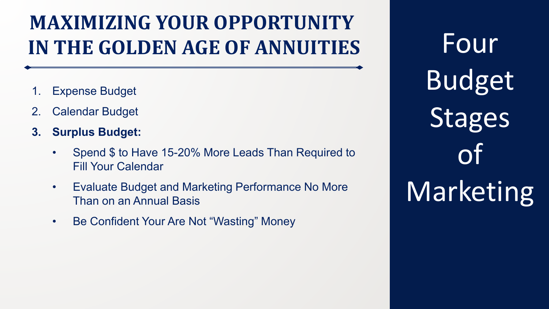- 1. Expense Budget
- **Calendar Budget**
- **3. Surplus Budget:**
	- Spend \$ to Have 15-20% More Leads Than Required to Fill Your Calendar
	- Evaluate Budget and Marketing Performance No More Than on an Annual Basis
	- Be Confident Your Are Not "Wasting" Money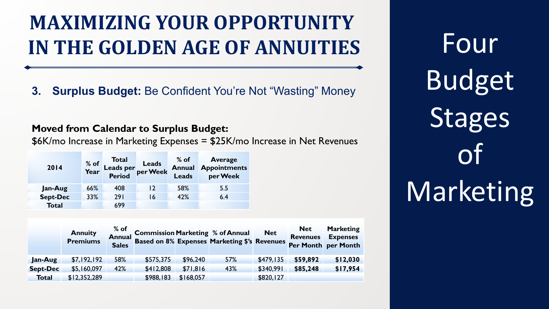### **3. Surplus Budget:** Be Confident You're Not "Wasting" Money

#### **Moved from Calendar to Surplus Budget:**

\$6K/mo Increase in Marketing Expenses = \$25K/mo Increase in Net Revenues

| 2014            | % of<br>Year | Total<br>Leads per<br>Period per Week |    | $%$ of<br><b>Annual</b><br><b>Leads</b> | <b>Average</b><br><b>Appointments</b><br>per Week |
|-----------------|--------------|---------------------------------------|----|-----------------------------------------|---------------------------------------------------|
| Jan-Aug         | 66%          | 408                                   | 12 | 58%                                     | 5.5                                               |
| <b>Sept-Dec</b> | 33%          | 291                                   | 16 | 42%                                     | 6.4                                               |
| <b>Total</b>    |              | 699                                   |    |                                         |                                                   |

|                 | <b>Annuity</b><br><b>Premiums</b> | $%$ of<br><b>Sales</b> |           |           | <sup>to OT</sup><br>Annual Commission Marketing % of Annual Net<br>Sales Based on 8% Expenses Marketing \$'s Revenues |           | <b>Net</b><br><b>Revenues</b> | <b>Marketing</b><br><b>Expenses</b><br>Per Month per Month |
|-----------------|-----------------------------------|------------------------|-----------|-----------|-----------------------------------------------------------------------------------------------------------------------|-----------|-------------------------------|------------------------------------------------------------|
| Jan-Aug         | \$7,192,192                       | 58%                    | \$575,375 | \$96,240  | 57%                                                                                                                   | \$479,135 | \$59,892                      | \$12,030                                                   |
| <b>Sept-Dec</b> | \$5,160,097                       | 42%                    | \$412,808 | \$71,816  | 43%                                                                                                                   | \$340,991 | \$85,248                      | \$17,954                                                   |
| <b>Total</b>    | \$12,352,289                      |                        | \$988,183 | \$168,057 |                                                                                                                       | \$820,127 |                               |                                                            |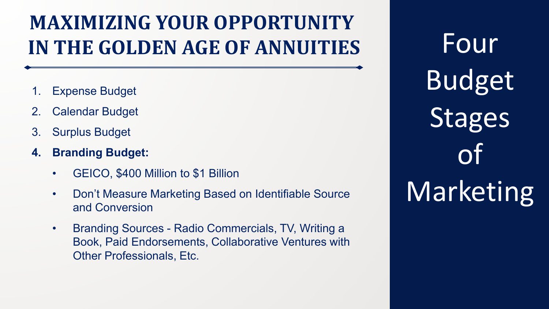- 1. Expense Budget
- **Calendar Budget**
- 3. Surplus Budget
- **4. Branding Budget:**
	- GEICO, \$400 Million to \$1 Billion
	- Don't Measure Marketing Based on Identifiable Source and Conversion
	- Branding Sources Radio Commercials, TV, Writing a Book, Paid Endorsements, Collaborative Ventures with Other Professionals, Etc.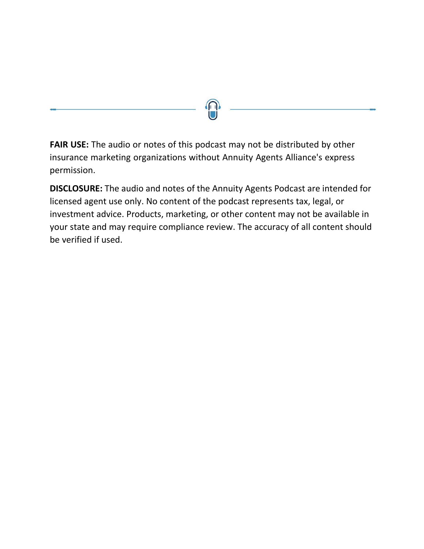**FAIR USE:** The audio or notes of this podcast may not be distributed by other insurance marketing organizations without Annuity Agents Alliance's express permission.

**DISCLOSURE:** The audio and notes of the Annuity Agents Podcast are intended for licensed agent use only. No content of the podcast represents tax, legal, or investment advice. Products, marketing, or other content may not be available in your state and may require compliance review. The accuracy of all content should be verified if used.